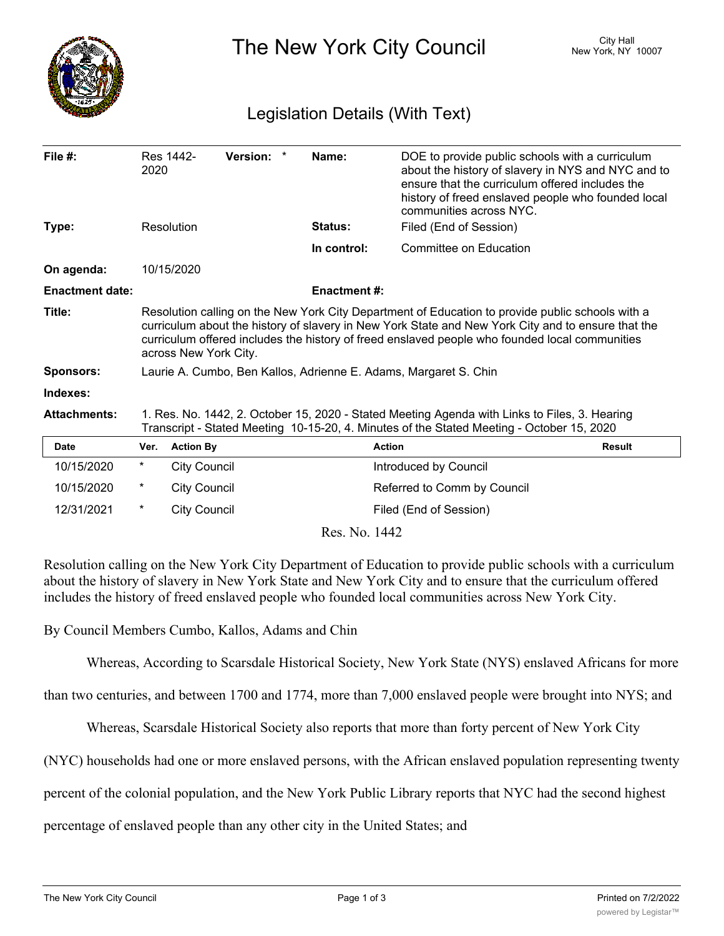

The New York City Council New York, NY 10007

## Legislation Details (With Text)

| File $#$ :             | 2020                                                                                                                                                                                                                                                                                                                              | Res 1442-           | Version: * |  | Name:               | DOE to provide public schools with a curriculum<br>about the history of slavery in NYS and NYC and to<br>ensure that the curriculum offered includes the<br>history of freed enslaved people who founded local<br>communities across NYC. |               |
|------------------------|-----------------------------------------------------------------------------------------------------------------------------------------------------------------------------------------------------------------------------------------------------------------------------------------------------------------------------------|---------------------|------------|--|---------------------|-------------------------------------------------------------------------------------------------------------------------------------------------------------------------------------------------------------------------------------------|---------------|
| Type:                  |                                                                                                                                                                                                                                                                                                                                   | Resolution          |            |  | Status:             | Filed (End of Session)                                                                                                                                                                                                                    |               |
|                        |                                                                                                                                                                                                                                                                                                                                   |                     |            |  | In control:         | Committee on Education                                                                                                                                                                                                                    |               |
| On agenda:             |                                                                                                                                                                                                                                                                                                                                   | 10/15/2020          |            |  |                     |                                                                                                                                                                                                                                           |               |
| <b>Enactment date:</b> |                                                                                                                                                                                                                                                                                                                                   |                     |            |  | <b>Enactment #:</b> |                                                                                                                                                                                                                                           |               |
| Title:                 | Resolution calling on the New York City Department of Education to provide public schools with a<br>curriculum about the history of slavery in New York State and New York City and to ensure that the<br>curriculum offered includes the history of freed enslaved people who founded local communities<br>across New York City. |                     |            |  |                     |                                                                                                                                                                                                                                           |               |
| <b>Sponsors:</b>       | Laurie A. Cumbo, Ben Kallos, Adrienne E. Adams, Margaret S. Chin                                                                                                                                                                                                                                                                  |                     |            |  |                     |                                                                                                                                                                                                                                           |               |
| Indexes:               |                                                                                                                                                                                                                                                                                                                                   |                     |            |  |                     |                                                                                                                                                                                                                                           |               |
| <b>Attachments:</b>    | 1. Res. No. 1442, 2. October 15, 2020 - Stated Meeting Agenda with Links to Files, 3. Hearing<br>Transcript - Stated Meeting 10-15-20, 4. Minutes of the Stated Meeting - October 15, 2020                                                                                                                                        |                     |            |  |                     |                                                                                                                                                                                                                                           |               |
| <b>Date</b>            | Ver.                                                                                                                                                                                                                                                                                                                              | <b>Action By</b>    |            |  |                     | <b>Action</b>                                                                                                                                                                                                                             | <b>Result</b> |
| 10/15/2020             | *                                                                                                                                                                                                                                                                                                                                 | <b>City Council</b> |            |  |                     | Introduced by Council                                                                                                                                                                                                                     |               |
| 10/15/2020             | *                                                                                                                                                                                                                                                                                                                                 | <b>City Council</b> |            |  |                     | Referred to Comm by Council                                                                                                                                                                                                               |               |
| 12/31/2021             | *                                                                                                                                                                                                                                                                                                                                 | <b>City Council</b> |            |  |                     | Filed (End of Session)                                                                                                                                                                                                                    |               |

Res. No. 1442

Resolution calling on the New York City Department of Education to provide public schools with a curriculum about the history of slavery in New York State and New York City and to ensure that the curriculum offered includes the history of freed enslaved people who founded local communities across New York City.

By Council Members Cumbo, Kallos, Adams and Chin

Whereas, According to Scarsdale Historical Society, New York State (NYS) enslaved Africans for more

than two centuries, and between 1700 and 1774, more than 7,000 enslaved people were brought into NYS; and

Whereas, Scarsdale Historical Society also reports that more than forty percent of New York City

(NYC) households had one or more enslaved persons, with the African enslaved population representing twenty

percent of the colonial population, and the New York Public Library reports that NYC had the second highest

percentage of enslaved people than any other city in the United States; and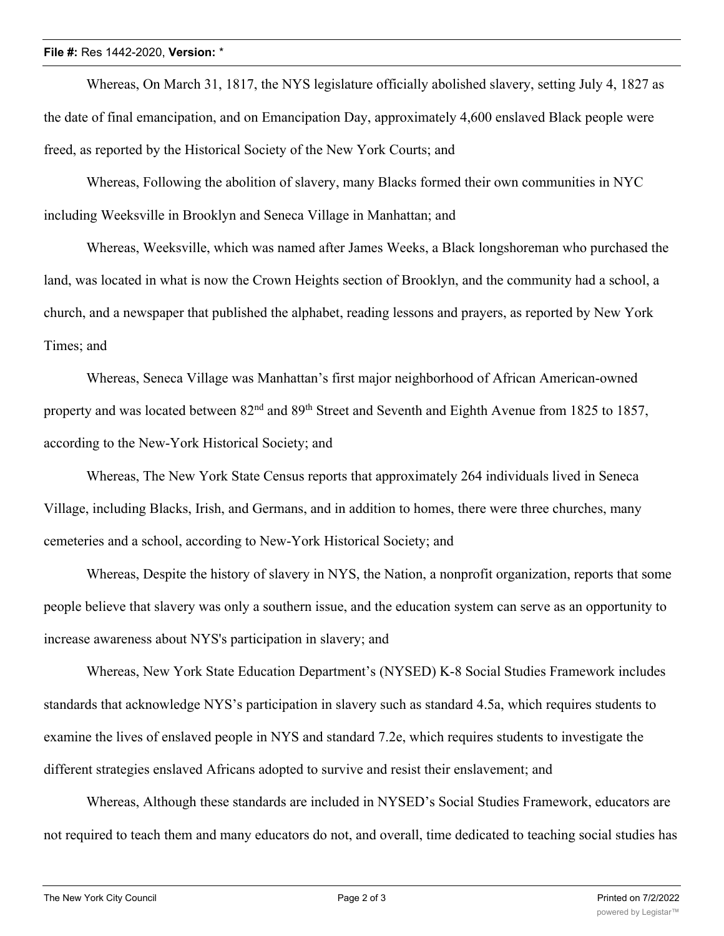## **File #:** Res 1442-2020, **Version:** \*

Whereas, On March 31, 1817, the NYS legislature officially abolished slavery, setting July 4, 1827 as the date of final emancipation, and on Emancipation Day, approximately 4,600 enslaved Black people were freed, as reported by the Historical Society of the New York Courts; and

Whereas, Following the abolition of slavery, many Blacks formed their own communities in NYC including Weeksville in Brooklyn and Seneca Village in Manhattan; and

Whereas, Weeksville, which was named after James Weeks, a Black longshoreman who purchased the land, was located in what is now the Crown Heights section of Brooklyn, and the community had a school, a church, and a newspaper that published the alphabet, reading lessons and prayers, as reported by New York Times; and

Whereas, Seneca Village was Manhattan's first major neighborhood of African American-owned property and was located between 82<sup>nd</sup> and 89<sup>th</sup> Street and Seventh and Eighth Avenue from 1825 to 1857, according to the New-York Historical Society; and

Whereas, The New York State Census reports that approximately 264 individuals lived in Seneca Village, including Blacks, Irish, and Germans, and in addition to homes, there were three churches, many cemeteries and a school, according to New-York Historical Society; and

Whereas, Despite the history of slavery in NYS, the Nation, a nonprofit organization, reports that some people believe that slavery was only a southern issue, and the education system can serve as an opportunity to increase awareness about NYS's participation in slavery; and

Whereas, New York State Education Department's (NYSED) K-8 Social Studies Framework includes standards that acknowledge NYS's participation in slavery such as standard 4.5a, which requires students to examine the lives of enslaved people in NYS and standard 7.2e, which requires students to investigate the different strategies enslaved Africans adopted to survive and resist their enslavement; and

Whereas, Although these standards are included in NYSED's Social Studies Framework, educators are not required to teach them and many educators do not, and overall, time dedicated to teaching social studies has